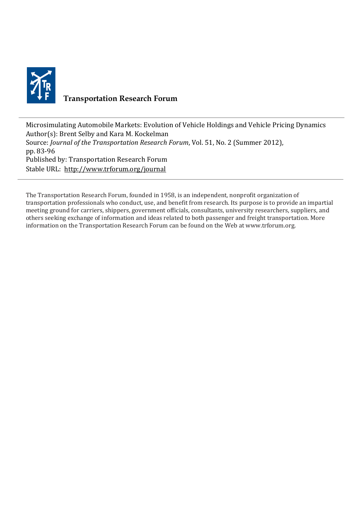

## **Transportation Research Forum**

Microsimulating Automobile Markets: Evolution of Vehicle Holdings and Vehicle Pricing Dynamics Author(s): Brent Selby and Kara M. Kockelman Source: *Journal of the Transportation Research Forum*, Vol. 51, No. 2 (Summer 2012), pp. 83-96 Published by: Transportation Research Forum Stable URL:<http://www.trforum.org/journal>

The Transportation Research Forum, founded in 1958, is an independent, nonprofit organization of transportation professionals who conduct, use, and benefit from research. Its purpose is to provide an impartial meeting ground for carriers, shippers, government officials, consultants, university researchers, suppliers, and others seeking exchange of information and ideas related to both passenger and freight transportation. More information on the Transportation Research Forum can be found on the Web at www.trforum.org.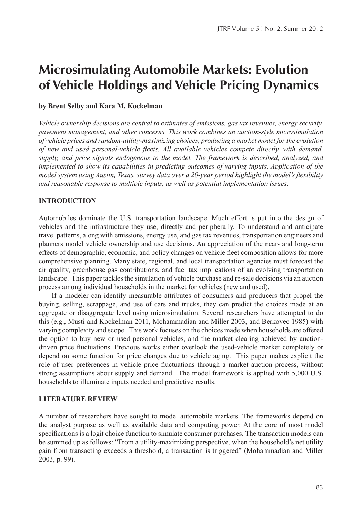# **Microsimulating Automobile Markets: Evolution of Vehicle Holdings and Vehicle Pricing Dynamics**

## **by Brent Selby and Kara M. Kockelman**

*Vehicle ownership decisions are central to estimates of emissions, gas tax revenues, energy security, pavement management, and other concerns. This work combines an auction-style microsimulation of vehicle prices and random-utility-maximizing choices, producing a market model forthe evolution of new and used personal-vehicle fleets. All available vehicles compete directly, with demand, supply, and price signals endogenous to the model. The framework is described, analyzed, and implemented to show its capabilities in predicting outcomes of varying inputs. Application of the model system using Austin, Texas, survey data over a 20-year period highlight the model's flexibility and reasonable response to multiple inputs, as well as potential implementation issues.* 

## **INTRODUCTION**

Automobiles dominate the U.S. transportation landscape. Much effort is put into the design of vehicles and the infrastructure they use, directly and peripherally. To understand and anticipate travel patterns, along with emissions, energy use, and gas tax revenues, transportation engineers and planners model vehicle ownership and use decisions. An appreciation of the near- and long-term effects of demographic, economic, and policy changes on vehicle fleet composition allows for more comprehensive planning. Many state, regional, and local transportation agencies must forecast the air quality, greenhouse gas contributions, and fuel tax implications of an evolving transportation landscape. This paper tackles the simulation of vehicle purchase and re-sale decisions via an auction process among individual households in the market for vehicles (new and used).

If a modeler can identify measurable attributes of consumers and producers that propel the buying, selling, scrappage, and use of cars and trucks, they can predict the choices made at an aggregate or disaggregate level using microsimulation. Several researchers have attempted to do this (e.g., Musti and Kockelman 2011, Mohammadian and Miller 2003, and Berkovec 1985) with varying complexity and scope. This work focuses on the choices made when households are offered the option to buy new or used personal vehicles, and the market clearing achieved by auctiondriven price fluctuations. Previous works either overlook the used-vehicle market completely or depend on some function for price changes due to vehicle aging. This paper makes explicit the role of user preferences in vehicle price fluctuations through a market auction process, without strong assumptions about supply and demand. The model framework is applied with 5,000 U.S. households to illuminate inputs needed and predictive results.

## **LITERATURE REVIEW**

A number of researchers have sought to model automobile markets. The frameworks depend on the analyst purpose as well as available data and computing power. At the core of most model specifications is a logit choice function to simulate consumer purchases. The transaction models can be summed up as follows: "From a utility-maximizing perspective, when the household's net utility gain from transacting exceeds a threshold, a transaction is triggered" (Mohammadian and Miller 2003, p. 99).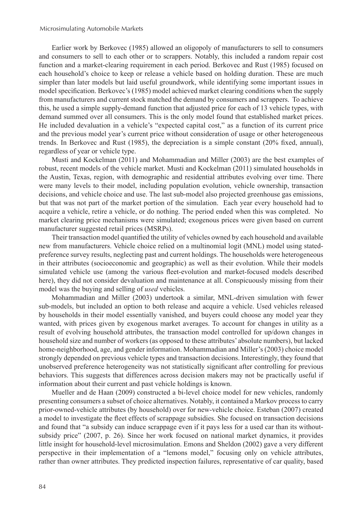Earlier work by Berkovec (1985) allowed an oligopoly of manufacturers to sell to consumers and consumers to sell to each other or to scrappers. Notably, this included a random repair cost function and a market-clearing requirement in each period. Berkovec and Rust (1985) focused on each household's choice to keep or release a vehicle based on holding duration. These are much simpler than later models but laid useful groundwork, while identifying some important issues in model specification. Berkovec's (1985) model achieved market clearing conditions when the supply from manufacturers and current stock matched the demand by consumers and scrappers. To achieve this, he used a simple supply-demand function that adjusted price for each of 13 vehicle types, with demand summed over all consumers. This is the only model found that established market prices. He included devaluation in a vehicle's "expected capital cost," as a function of its current price and the previous model year's current price without consideration of usage or other heterogeneous trends. In Berkovec and Rust (1985), the depreciation is a simple constant (20% fixed, annual), regardless of year or vehicle type.

Musti and Kockelman (2011) and Mohammadian and Miller (2003) are the best examples of robust, recent models of the vehicle market. Musti and Kockelman (2011) simulated households in the Austin, Texas, region, with demographic and residential attributes evolving over time. There were many levels to their model, including population evolution, vehicle ownership, transaction decisions, and vehicle choice and use. The last sub-model also projected greenhouse gas emissions, but that was not part of the market portion of the simulation. Each year every household had to acquire a vehicle, retire a vehicle, or do nothing. The period ended when this was completed. No market clearing price mechanisms were simulated; exogenous prices were given based on current manufacturer suggested retail prices (MSRPs).

Their transaction model quantified the utility of vehicles owned by each household and available new from manufacturers. Vehicle choice relied on a multinomial logit (MNL) model using statedpreference survey results, neglecting past and current holdings. The households were heterogeneous in their attributes (socioeconomic and geographic) as well as their evolution. While their models simulated vehicle use (among the various fleet-evolution and market-focused models described here), they did not consider devaluation and maintenance at all. Conspicuously missing from their model was the buying and selling of *used* vehicles.

Mohammadian and Miller (2003) undertook a similar, MNL-driven simulation with fewer sub-models, but included an option to both release and acquire a vehicle. Used vehicles released by households in their model essentially vanished, and buyers could choose any model year they wanted, with prices given by exogenous market averages. To account for changes in utility as a result of evolving household attributes, the transaction model controlled for up/down changes in household size and number of workers (as opposed to these attributes' absolute numbers), but lacked home-neighborhood, age, and gender information. Mohammadian and Miller's (2003) choice model strongly depended on previous vehicle types and transaction decisions. Interestingly, they found that unobserved preference heterogeneity was not statistically significant after controlling for previous behaviors. This suggests that differences across decision makers may not be practically useful if information about their current and past vehicle holdings is known.

Mueller and de Haan (2009) constructed a bi-level choice model for new vehicles, randomly presenting consumers a subset of choice alternatives. Notably, it contained a Markov process to carry prior-owned-vehicle attributes (by household) over for new-vehicle choice. Esteban (2007) created a model to investigate the fleet effects of scrappage subsidies. She focused on transaction decisions and found that "a subsidy can induce scrappage even if it pays less for a used car than its withoutsubsidy price" (2007, p. 26). Since her work focused on national market dynamics, it provides little insight for household-level microsimulation. Emons and Sheldon (2002) gave a very different perspective in their implementation of a "lemons model," focusing only on vehicle attributes, rather than owner attributes. They predicted inspection failures, representative of car quality, based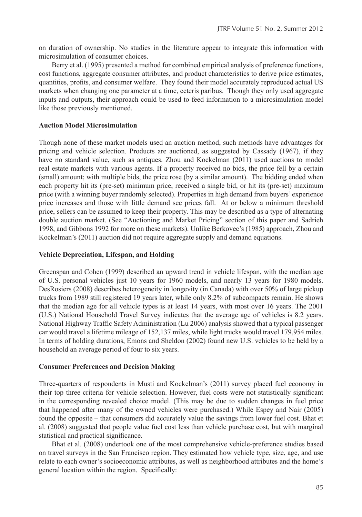on duration of ownership. No studies in the literature appear to integrate this information with microsimulation of consumer choices.

Berry et al. (1995) presented a method for combined empirical analysis of preference functions, cost functions, aggregate consumer attributes, and product characteristics to derive price estimates, quantities, profits, and consumer welfare. They found their model accurately reproduced actual US markets when changing one parameter at a time, ceteris paribus. Though they only used aggregate inputs and outputs, their approach could be used to feed information to a microsimulation model like those previously mentioned.

## **Auction Model Microsimulation**

Though none of these market models used an auction method, such methods have advantages for pricing and vehicle selection. Products are auctioned, as suggested by Cassady (1967), if they have no standard value, such as antiques. Zhou and Kockelman (2011) used auctions to model real estate markets with various agents. If a property received no bids, the price fell by a certain (small) amount; with multiple bids, the price rose (by a similar amount). The bidding ended when each property hit its (pre-set) minimum price, received a single bid, or hit its (pre-set) maximum price (with a winning buyer randomly selected). Properties in high demand from buyers' experience price increases and those with little demand see prices fall. At or below a minimum threshold price, sellers can be assumed to keep their property. This may be described as a type of alternating double auction market. (See "Auctioning and Market Pricing" section of this paper and Sadrieh 1998, and Gibbons 1992 for more on these markets). Unlike Berkovec's (1985) approach, Zhou and Kockelman's (2011) auction did not require aggregate supply and demand equations.

#### **Vehicle Depreciation, Lifespan, and Holding**

Greenspan and Cohen (1999) described an upward trend in vehicle lifespan, with the median age of U.S. personal vehicles just 10 years for 1960 models, and nearly 13 years for 1980 models. DesRosiers (2008) describes heterogeneity in longevity (in Canada) with over 50% of large pickup trucks from 1989 still registered 19 years later, while only 8.2% of subcompacts remain. He shows that the median age for all vehicle types is at least 14 years, with most over 16 years. The 2001 (U.S.) National Household Travel Survey indicates that the average age of vehicles is 8.2 years. National Highway Traffic Safety Administration (Lu 2006) analysis showed that a typical passenger car would travel a lifetime mileage of 152,137 miles, while light trucks would travel 179,954 miles. In terms of holding durations, Emons and Sheldon (2002) found new U.S. vehicles to be held by a household an average period of four to six years.

## **Consumer Preferences and Decision Making**

Three-quarters of respondents in Musti and Kockelman's (2011) survey placed fuel economy in their top three criteria for vehicle selection. However, fuel costs were not statistically significant in the corresponding revealed choice model. (This may be due to sudden changes in fuel price that happened after many of the owned vehicles were purchased.) While Espey and Nair (2005) found the opposite – that consumers did accurately value the savings from lower fuel cost. Bhat et al. (2008) suggested that people value fuel cost less than vehicle purchase cost, but with marginal statistical and practical significance.

Bhat et al. (2008) undertook one of the most comprehensive vehicle-preference studies based on travel surveys in the San Francisco region. They estimated how vehicle type, size, age, and use relate to each owner's socioeconomic attributes, as well as neighborhood attributes and the home's general location within the region. Specifically: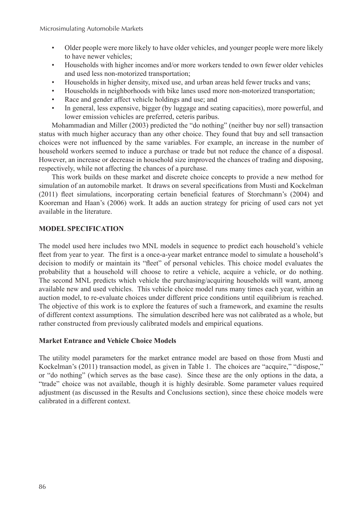- Older people were more likely to have older vehicles, and younger people were more likely to have newer vehicles;
- Households with higher incomes and/or more workers tended to own fewer older vehicles and used less non-motorized transportation;
- Households in higher density, mixed use, and urban areas held fewer trucks and vans;
- Households in neighborhoods with bike lanes used more non-motorized transportation;
- Race and gender affect vehicle holdings and use; and
- In general, less expensive, bigger (by luggage and seating capacities), more powerful, and lower emission vehicles are preferred, ceteris paribus.

Mohammadian and Miller (2003) predicted the "do nothing" (neither buy nor sell) transaction status with much higher accuracy than any other choice. They found that buy and sell transaction choices were not influenced by the same variables. For example, an increase in the number of household workers seemed to induce a purchase or trade but not reduce the chance of a disposal. However, an increase or decrease in household size improved the chances of trading and disposing, respectively, while not affecting the chances of a purchase.

This work builds on these market and discrete choice concepts to provide a new method for simulation of an automobile market. It draws on several specifications from Musti and Kockelman (2011) fleet simulations, incorporating certain beneficial features of Storchmann's (2004) and Kooreman and Haan's (2006) work. It adds an auction strategy for pricing of used cars not yet available in the literature.

## **MODEL SPECIFICATION**

The model used here includes two MNL models in sequence to predict each household's vehicle fleet from year to year. The first is a once-a-year market entrance model to simulate a household's decision to modify or maintain its "fleet" of personal vehicles. This choice model evaluates the probability that a household will choose to retire a vehicle, acquire a vehicle, or do nothing. The second MNL predicts which vehicle the purchasing/acquiring households will want, among available new and used vehicles. This vehicle choice model runs many times each year, within an auction model, to re-evaluate choices under different price conditions until equilibrium is reached. The objective of this work is to explore the features of such a framework, and examine the results of different context assumptions. The simulation described here was not calibrated as a whole, but rather constructed from previously calibrated models and empirical equations.

## **Market Entrance and Vehicle Choice Models**

The utility model parameters for the market entrance model are based on those from Musti and Kockelman's (2011) transaction model, as given in Table 1. The choices are "acquire," "dispose," or "do nothing" (which serves as the base case). Since these are the only options in the data, a "trade" choice was not available, though it is highly desirable. Some parameter values required adjustment (as discussed in the Results and Conclusions section), since these choice models were calibrated in a different context.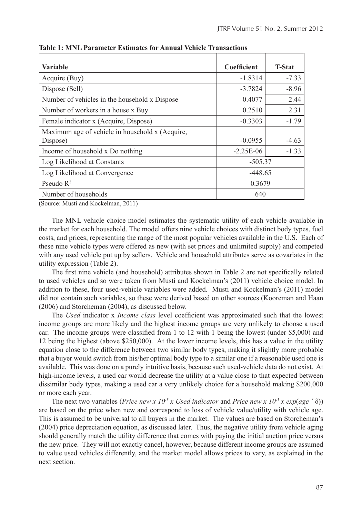| Variable                                        | Coefficient | <b>T-Stat</b> |
|-------------------------------------------------|-------------|---------------|
| Acquire (Buy)                                   | $-1.8314$   | $-7.33$       |
| Dispose (Sell)                                  | $-3.7824$   | $-8.96$       |
| Number of vehicles in the household x Dispose   | 0.4077      | 2.44          |
| Number of workers in a house x Buy              | 0.2510      | 2.31          |
| Female indicator x (Acquire, Dispose)           | $-0.3303$   | $-1.79$       |
| Maximum age of vehicle in household x (Acquire, |             |               |
| Dispose)                                        | $-0.0955$   | $-4.63$       |
| Income of household x Do nothing                | $-2.25E-06$ | $-1.33$       |
| Log Likelihood at Constants                     | $-505.37$   |               |
| Log Likelihood at Convergence                   | $-448.65$   |               |
| Pseudo $R^2$                                    | 0.3679      |               |
| Number of households                            | 640         |               |

**Table 1: MNL Parameter Estimates for Annual Vehicle Transactions**

(Source: Musti and Kockelman, 2011)

The MNL vehicle choice model estimates the systematic utility of each vehicle available in the market for each household. The model offers nine vehicle choices with distinct body types, fuel costs, and prices, representing the range of the most popular vehicles available in the U.S. Each of these nine vehicle types were offered as new (with set prices and unlimited supply) and competed with any used vehicle put up by sellers. Vehicle and household attributes serve as covariates in the utility expression (Table 2).

The first nine vehicle (and household) attributes shown in Table 2 are not specifically related to used vehicles and so were taken from Musti and Kockelman's (2011) vehicle choice model. In addition to these, four used-vehicle variables were added. Musti and Kockelman's (2011) model did not contain such variables, so these were derived based on other sources (Kooreman and Haan (2006) and Storcheman (2004), as discussed below.

The *Used* indicator x *Income class* level coefficient was approximated such that the lowest income groups are more likely and the highest income groups are very unlikely to choose a used car. The income groups were classified from 1 to 12 with 1 being the lowest (under \$5,000) and 12 being the highest (above \$250,000). At the lower income levels, this has a value in the utility equation close to the difference between two similar body types, making it slightly more probable that a buyer would switch from his/her optimal body type to a similar one if a reasonable used one is available. This was done on a purely intuitive basis, because such used-vehicle data do not exist. At high-income levels, a used car would decrease the utility at a value close to that expected between dissimilar body types, making a used car a very unlikely choice for a household making \$200,000 or more each year.

The next two variables (*Price new x 10<sup>-5</sup> x Used indicator* and *Price new x 10<sup>-5</sup> x exp(age*  $\hat{ }$  $\delta$ *)*) are based on the price when new and correspond to loss of vehicle value/utility with vehicle age. This is assumed to be universal to all buyers in the market. The values are based on Storcheman's (2004) price depreciation equation, as discussed later. Thus, the negative utility from vehicle aging should generally match the utility difference that comes with paying the initial auction price versus the new price. They will not exactly cancel, however, because different income groups are assumed to value used vehicles differently, and the market model allows prices to vary, as explained in the next section.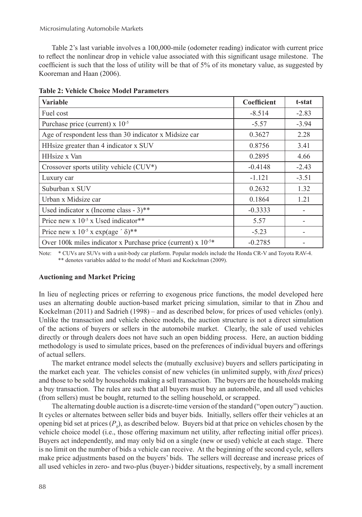Table 2's last variable involves a 100,000-mile (odometer reading) indicator with current price to reflect the nonlinear drop in vehicle value associated with this significant usage milestone. The coefficient is such that the loss of utility will be that of 5% of its monetary value, as suggested by Kooreman and Haan (2006).

| <b>Variable</b>                                                          | Coefficient | t-stat  |
|--------------------------------------------------------------------------|-------------|---------|
| Fuel cost                                                                | $-8.514$    | $-2.83$ |
| Purchase price (current) $x$ 10 <sup>-5</sup>                            | $-5.57$     | $-3.94$ |
| Age of respondent less than 30 indicator x Midsize car                   | 0.3627      | 2.28    |
| HHsize greater than 4 indicator x SUV                                    | 0.8756      | 3.41    |
| HHsize x Van                                                             | 0.2895      | 4.66    |
| Crossover sports utility vehicle $(CUV^*)$                               | $-0.4148$   | $-2.43$ |
| Luxury car                                                               | $-1.121$    | $-3.51$ |
| Suburban x SUV                                                           | 0.2632      | 1.32    |
| Urban x Midsize car                                                      | 0.1864      | 1.21    |
| Used indicator x (Income class - $3$ )**                                 | $-0.3333$   |         |
| Price new x $10^{-5}$ x Used indicator**                                 | 5.57        |         |
| Price new x 10 <sup>-5</sup> x exp(age $\delta$ )**                      | $-5.23$     |         |
| Over 100k miles indicator x Purchase price (current) x 10 <sup>-5*</sup> | $-0.2785$   |         |

| <b>Table 2: Vehicle Choice Model Parameters</b> |  |  |  |  |
|-------------------------------------------------|--|--|--|--|
|-------------------------------------------------|--|--|--|--|

Note: \* CUVs are SUVs with a unit-body car platform. Popular models include the Honda CR-V and Toyota RAV-4. \*\* denotes variables added to the model of Musti and Kockelman (2009).

#### **Auctioning and Market Pricing**

In lieu of neglecting prices or referring to exogenous price functions, the model developed here uses an alternating double auction-based market pricing simulation, similar to that in Zhou and Kockelman (2011) and Sadrieh (1998) – and as described below, for prices of used vehicles (only). Unlike the transaction and vehicle choice models, the auction structure is not a direct simulation of the actions of buyers or sellers in the automobile market. Clearly, the sale of used vehicles directly or through dealers does not have such an open bidding process. Here, an auction bidding methodology is used to simulate prices, based on the preferences of individual buyers and offerings of actual sellers.

The market entrance model selects the (mutually exclusive) buyers and sellers participating in the market each year. The vehicles consist of new vehicles (in unlimited supply, with *fixed* prices) and those to be sold by households making a sell transaction. The buyers are the households making a buy transaction. The rules are such that all buyers must buy an automobile, and all used vehicles (from sellers) must be bought, returned to the selling household, or scrapped.

The alternating double auction is a discrete-time version of the standard ("open outcry") auction. It cycles or alternates between seller bids and buyer bids. Initially, sellers offer their vehicles at an opening bid set at prices  $(P_0)$ , as described below. Buyers bid at that price on vehicles chosen by the vehicle choice model (i.e., those offering maximum net utility, after reflecting initial offer prices). Buyers act independently, and may only bid on a single (new or used) vehicle at each stage. There is no limit on the number of bids a vehicle can receive. At the beginning of the second cycle, sellers make price adjustments based on the buyers' bids. The sellers will decrease and increase prices of all used vehicles in zero- and two-plus (buyer-) bidder situations, respectively, by a small increment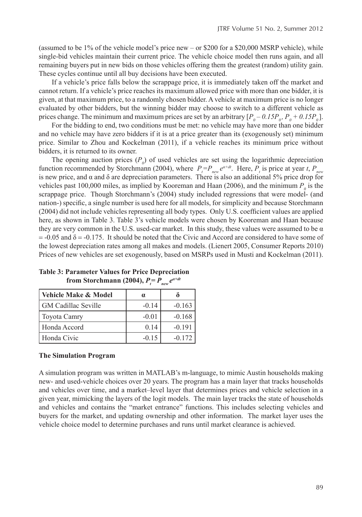(assumed to be 1% of the vehicle model's price new – or \$200 for a \$20,000 MSRP vehicle), while single-bid vehicles maintain their current price. The vehicle choice model then runs again, and all remaining buyers put in new bids on those vehicles offering them the greatest (random) utility gain. These cycles continue until all buy decisions have been executed.

If a vehicle's price falls below the scrappage price, it is immediately taken off the market and cannot return. If a vehicle's price reaches its maximum allowed price with more than one bidder, it is given, at that maximum price, to a randomly chosen bidder. A vehicle at maximum price is no longer evaluated by other bidders, but the winning bidder may choose to switch to a different vehicle as prices change. The minimum and maximum prices are set by an arbitrary  $[P_0 - 0.15P_0, P_0 + 0.15P_0]$ .

For the bidding to end, two conditions must be met: no vehicle may have more than one bidder and no vehicle may have zero bidders if it is at a price greater than its (exogenously set) minimum price. Similar to Zhou and Kockelman (2011), if a vehicle reaches its minimum price without bidders, it is returned to its owner.

The opening auction prices  $(P_0)$  of used vehicles are set using the logarithmic depreciation function recommended by Storchmann (2004), where  $P_t = P_{new} e^{a+dt}$ . Here,  $P_t$  is price at year *t*,  $P_{new}$ is new price, and  $\alpha$  and δ are depreciation parameters. There is also an additional 5% price drop for vehicles past 100,000 miles, as implied by Kooreman and Haan (2006), and the minimum  $P_{\theta}$  is the scrappage price. Though Storchmann's (2004) study included regressions that were model- (and nation-) specific, a single number is used here for all models, for simplicity and because Storchmann (2004) did not include vehicles representing all body types. Only U.S. coefficient values are applied here, as shown in Table 3. Table 3's vehicle models were chosen by Kooreman and Haan because they are very common in the U.S. used-car market. In this study, these values were assumed to be  $\alpha$  $= -0.05$  and  $\delta = -0.175$ . It should be noted that the Civic and Accord are considered to have some of the lowest depreciation rates among all makes and models. (Lienert 2005, Consumer Reports 2010) Prices of new vehicles are set exogenously, based on MSRPs used in Musti and Kockelman (2011).

| <b>Vehicle Make &amp; Model</b> | $\alpha$ |          |
|---------------------------------|----------|----------|
| GM Cadillac Seville             | $-0.14$  | $-0.163$ |
| Toyota Camry                    | $-0.01$  | $-0.168$ |
| Honda Accord                    | 0.14     | $-0.191$ |
| Honda Civic                     | $-0.15$  | $-0.172$ |

**Table 3: Parameter Values for Price Depreciation from Storchmann (2004),**  $P_t = P_{new} e^{a+dt}$ 

#### **The Simulation Program**

A simulation program was written in MATLAB's m-language, to mimic Austin households making new- and used-vehicle choices over 20 years. The program has a main layer that tracks households and vehicles over time, and a market–level layer that determines prices and vehicle selection in a given year, mimicking the layers of the logit models. The main layer tracks the state of households and vehicles and contains the "market entrance" functions. This includes selecting vehicles and buyers for the market, and updating ownership and other information. The market layer uses the vehicle choice model to determine purchases and runs until market clearance is achieved.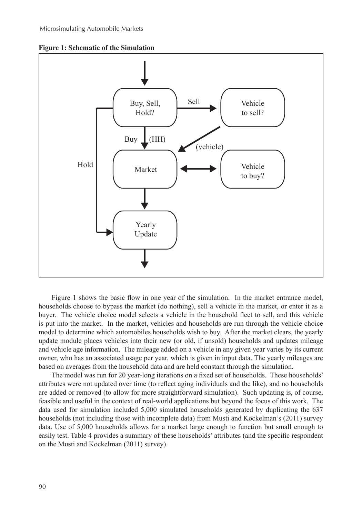



Figure 1 shows the basic flow in one year of the simulation. In the market entrance model, households choose to bypass the market (do nothing), sell a vehicle in the market, or enter it as a buyer. The vehicle choice model selects a vehicle in the household fleet to sell, and this vehicle is put into the market. In the market, vehicles and households are run through the vehicle choice model to determine which automobiles households wish to buy. After the market clears, the yearly update module places vehicles into their new (or old, if unsold) households and updates mileage and vehicle age information. The mileage added on a vehicle in any given year varies by its current owner, who has an associated usage per year, which is given in input data. The yearly mileages are based on averages from the household data and are held constant through the simulation.

The model was run for 20 year-long iterations on a fixed set of households. These households' attributes were not updated over time (to reflect aging individuals and the like), and no households are added or removed (to allow for more straightforward simulation). Such updating is, of course, feasible and useful in the context of real-world applications but beyond the focus of this work. The data used for simulation included 5,000 simulated households generated by duplicating the 637 households (not including those with incomplete data) from Musti and Kockelman's (2011) survey data. Use of 5,000 households allows for a market large enough to function but small enough to easily test. Table 4 provides a summary of these households' attributes (and the specific respondent on the Musti and Kockelman (2011) survey).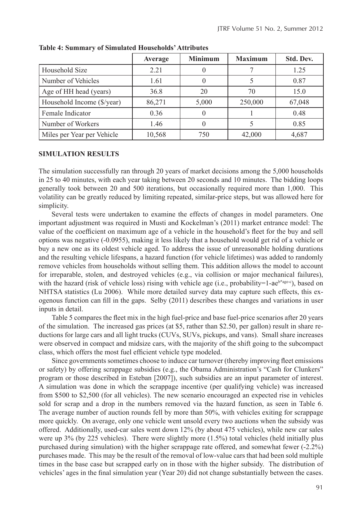|                            | Average | <b>Minimum</b> | <b>Maximum</b> | Std. Dev. |
|----------------------------|---------|----------------|----------------|-----------|
| Household Size             | 2.21    |                |                | 1.25      |
| Number of Vehicles         | 1.61    |                |                | 0.87      |
| Age of HH head (years)     | 36.8    | 20             | 70             | 15.0      |
| Household Income (\$/year) | 86,271  | 5,000          | 250,000        | 67,048    |
| Female Indicator           | 0.36    |                |                | 0.48      |
| Number of Workers          | 1.46    |                |                | 0.85      |
| Miles per Year per Vehicle | 10,568  | 750            | 42,000         | 4,687     |

**Table 4: Summary of Simulated Households' Attributes**

#### **SIMULATION RESULTS**

The simulation successfully ran through 20 years of market decisions among the 5,000 households in 25 to 40 minutes, with each year taking between 20 seconds and 10 minutes. The bidding loops generally took between 20 and 500 iterations, but occasionally required more than 1,000. This volatility can be greatly reduced by limiting repeated, similar-price steps, but was allowed here for simplicity.

Several tests were undertaken to examine the effects of changes in model parameters. One important adjustment was required in Musti and Kockelman's (2011) market entrance model: The value of the coefficient on maximum age of a vehicle in the household's fleet for the buy and sell options was negative (-0.0955), making it less likely that a household would get rid of a vehicle or buy a new one as its oldest vehicle aged. To address the issue of unreasonable holding durations and the resulting vehicle lifespans, a hazard function (for vehicle lifetimes) was added to randomly remove vehicles from households without selling them. This addition allows the model to account for irreparable, stolen, and destroyed vehicles (e.g., via collision or major mechanical failures), with the hazard (risk of vehicle loss) rising with vehicle age (i.e., probability=1-aeb\*age-c), based on NHTSA statistics (Lu 2006). While more detailed survey data may capture such effects, this exogenous function can fill in the gaps. Selby (2011) describes these changes and variations in user inputs in detail.

Table 5 compares the fleet mix in the high fuel-price and base fuel-price scenarios after 20 years of the simulation. The increased gas prices (at \$5, rather than \$2.50, per gallon) result in share reductions for large cars and all light trucks (CUVs, SUVs, pickups, and vans). Small share increases were observed in compact and midsize cars, with the majority of the shift going to the subcompact class, which offers the most fuel efficient vehicle type modeled.

Since governments sometimes choose to induce car turnover (thereby improving fleet emissions or safety) by offering scrappage subsidies (e.g., the Obama Administration's "Cash for Clunkers" program or those described in Esteban [2007]), such subsidies are an input parameter of interest. A simulation was done in which the scrappage incentive (per qualifying vehicle) was increased from \$500 to \$2,500 (for all vehicles). The new scenario encouraged an expected rise in vehicles sold for scrap and a drop in the numbers removed via the hazard function, as seen in Table 6. The average number of auction rounds fell by more than 50%, with vehicles exiting for scrappage more quickly. On average, only one vehicle went unsold every two auctions when the subsidy was offered. Additionally, used-car sales went down 12% (by about 475 vehicles), while new car sales were up 3% (by 225 vehicles). There were slightly more (1.5%) total vehicles (held initially plus purchased during simulation) with the higher scrappage rate offered, and somewhat fewer (-2.2%) purchases made. This may be the result of the removal of low-value cars that had been sold multiple times in the base case but scrapped early on in those with the higher subsidy. The distribution of vehicles' ages in the final simulation year (Year 20) did not change substantially between the cases.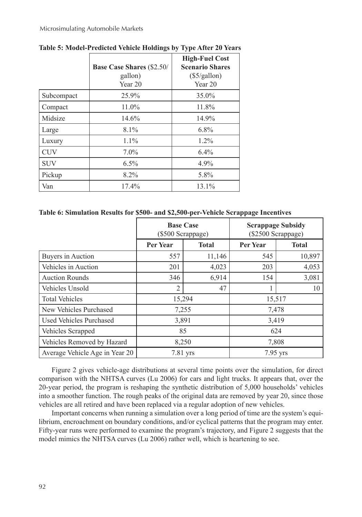|            |                                             | <b>High-Fuel Cost</b><br><b>Scenario Shares</b> |
|------------|---------------------------------------------|-------------------------------------------------|
|            | <b>Base Case Shares (\$2.50/</b><br>gallon) | $(\$5/gallon)$                                  |
|            | Year 20                                     | Year 20                                         |
| Subcompact | 25.9%                                       | 35.0%                                           |
| Compact    | 11.0%                                       | 11.8%                                           |
| Midsize    | 14.6%                                       | 14.9%                                           |
| Large      | 8.1%                                        | $6.8\%$                                         |
| Luxury     | $1.1\%$                                     | $1.2\%$                                         |
| <b>CUV</b> | $7.0\%$                                     | $6.4\%$                                         |
| <b>SUV</b> | $6.5\%$                                     | $4.9\%$                                         |
| Pickup     | 8.2%                                        | 5.8%                                            |
| Van        | 17.4%                                       | 13.1%                                           |

**Table 5: Model-Predicted Vehicle Holdings by Type After 20 Years**

#### **Table 6: Simulation Results for \$500- and \$2,500-per-Vehicle Scrappage Incentives**

|                                | <b>Base Case</b><br>(\$500 Scrappage) |              | <b>Scrappage Subsidy</b><br>(\$2500 Scrappage) |              |  |
|--------------------------------|---------------------------------------|--------------|------------------------------------------------|--------------|--|
|                                | <b>Per Year</b>                       | <b>Total</b> | <b>Per Year</b>                                | <b>Total</b> |  |
| Buyers in Auction              | 557                                   | 11,146       | 545                                            | 10,897       |  |
| Vehicles in Auction            | 201                                   | 4,023        | 203                                            | 4,053        |  |
| <b>Auction Rounds</b>          | 346                                   | 6,914        | 154                                            | 3,081        |  |
| Vehicles Unsold                | $\overline{2}$                        | 47           |                                                | 10           |  |
| <b>Total Vehicles</b>          | 15,294                                |              | 15,517                                         |              |  |
| New Vehicles Purchased         | 7,255                                 |              | 7,478                                          |              |  |
| Used Vehicles Purchased        | 3,891                                 |              | 3,419                                          |              |  |
| Vehicles Scrapped              | 85                                    |              | 624                                            |              |  |
| Vehicles Removed by Hazard     | 8,250                                 |              | 7,808                                          |              |  |
| Average Vehicle Age in Year 20 | 7.81 yrs                              |              | 7.95 yrs                                       |              |  |

Figure 2 gives vehicle-age distributions at several time points over the simulation, for direct comparison with the NHTSA curves (Lu 2006) for cars and light trucks. It appears that, over the 20-year period, the program is reshaping the synthetic distribution of 5,000 households' vehicles into a smoother function. The rough peaks of the original data are removed by year 20, since those vehicles are all retired and have been replaced via a regular adoption of new vehicles.

Important concerns when running a simulation over a long period of time are the system's equilibrium, encroachment on boundary conditions, and/or cyclical patterns that the program may enter. Fifty-year runs were performed to examine the program's trajectory, and Figure 2 suggests that the model mimics the NHTSA curves (Lu 2006) rather well, which is heartening to see.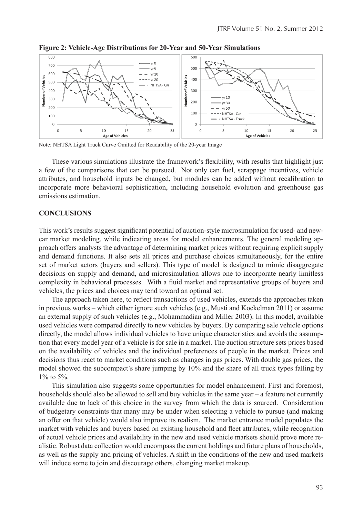

**Figure 2: Vehicle-Age Distributions for 20-Year and 50-Year Simulations**

Note: NHTSA Light Truck Curve Omitted for Readability of the 20-year Image

These various simulations illustrate the framework's flexibility, with results that highlight just a few of the comparisons that can be pursued. Not only can fuel, scrappage incentives, vehicle attributes, and household inputs be changed, but modules can be added without recalibration to incorporate more behavioral sophistication, including household evolution and greenhouse gas emissions estimation.

#### **CONCLUSIONS**

This work's results suggest significant potential of auction-style microsimulation for used- and newcar market modeling, while indicating areas for model enhancements. The general modeling approach offers analysts the advantage of determining market prices without requiring explicit supply and demand functions. It also sets all prices and purchase choices simultaneously, for the entire set of market actors (buyers and sellers). This type of model is designed to mimic disaggregate decisions on supply and demand, and microsimulation allows one to incorporate nearly limitless complexity in behavioral processes. With a fluid market and representative groups of buyers and vehicles, the prices and choices may tend toward an optimal set.

The approach taken here, to reflect transactions of used vehicles, extends the approaches taken in previous works – which either ignore such vehicles (e.g., Musti and Kockelman 2011) or assume an external supply of such vehicles (e.g., Mohammadian and Miller 2003). In this model, available used vehicles were compared directly to new vehicles by buyers. By comparing sale vehicle options directly, the model allows individual vehicles to have unique characteristics and avoids the assumption that every model year of a vehicle is for sale in a market. The auction structure sets prices based on the availability of vehicles and the individual preferences of people in the market. Prices and decisions thus react to market conditions such as changes in gas prices. With double gas prices, the model showed the subcompact's share jumping by 10% and the share of all truck types falling by 1% to 5%.

This simulation also suggests some opportunities for model enhancement. First and foremost, households should also be allowed to sell and buy vehicles in the same year – a feature not currently available due to lack of this choice in the survey from which the data is sourced. Consideration of budgetary constraints that many may be under when selecting a vehicle to pursue (and making an offer on that vehicle) would also improve its realism. The market entrance model populates the market with vehicles and buyers based on existing household and fleet attributes, while recognition of actual vehicle prices and availability in the new and used vehicle markets should prove more realistic. Robust data collection would encompass the current holdings and future plans of households, as well as the supply and pricing of vehicles. A shift in the conditions of the new and used markets will induce some to join and discourage others, changing market makeup.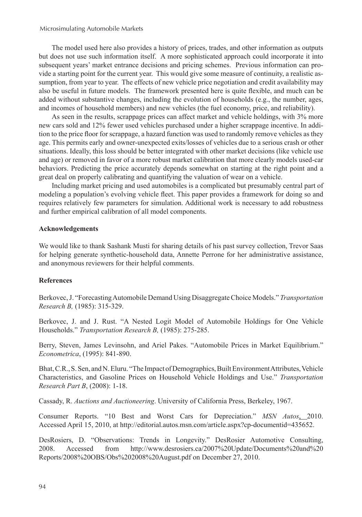The model used here also provides a history of prices, trades, and other information as outputs but does not use such information itself. A more sophisticated approach could incorporate it into subsequent years' market entrance decisions and pricing schemes. Previous information can provide a starting point for the current year. This would give some measure of continuity, a realistic assumption, from year to year. The effects of new vehicle price negotiation and credit availability may also be useful in future models. The framework presented here is quite flexible, and much can be added without substantive changes, including the evolution of households (e.g., the number, ages, and incomes of household members) and new vehicles (the fuel economy, price, and reliability).

As seen in the results, scrappage prices can affect market and vehicle holdings, with 3% more new cars sold and 12% fewer used vehicles purchased under a higher scrappage incentive. In addition to the price floor for scrappage, a hazard function was used to randomly remove vehicles as they age. This permits early and owner-unexpected exits/losses of vehicles due to a serious crash or other situations. Ideally, this loss should be better integrated with other market decisions (like vehicle use and age) or removed in favor of a more robust market calibration that more clearly models used-car behaviors. Predicting the price accurately depends somewhat on starting at the right point and a great deal on properly calibrating and quantifying the valuation of wear on a vehicle.

Including market pricing and used automobiles is a complicated but presumably central part of modeling a population's evolving vehicle fleet. This paper provides a framework for doing so and requires relatively few parameters for simulation. Additional work is necessary to add robustness and further empirical calibration of all model components.

#### **Acknowledgements**

We would like to thank Sashank Musti for sharing details of his past survey collection, Trevor Saas for helping generate synthetic-household data, Annette Perrone for her administrative assistance, and anonymous reviewers for their helpful comments.

## **References**

Berkovec, J. "Forecasting Automobile Demand Using Disaggregate Choice Models." *Transportation Research B,* (1985): 315-329.

Berkovec, J. and J. Rust. "A Nested Logit Model of Automobile Holdings for One Vehicle Households." *Transportation Research B,* (1985): 275-285.

Berry, Steven, James Levinsohn, and Ariel Pakes. "Automobile Prices in Market Equilibrium." *Econometrica*, (1995): 841-890.

Bhat, C.R., S. Sen, and N. Eluru. "The Impact of Demographics, Built Environment Attributes, Vehicle Characteristics, and Gasoline Prices on Household Vehicle Holdings and Use." *Transportation Research Part B*, (2008): 1-18.

Cassady, R. *Auctions and Auctioneering*. University of California Press, Berkeley, 1967.

Consumer Reports. "10 Best and Worst Cars for Depreciation." *MSN Autos*, 2010. Accessed April 15, 2010, at http://editorial.autos.msn.com/article.aspx?cp-documentid=435652.

DesRosiers, D. "Observations: Trends in Longevity." DesRosier Automotive Consulting, 2008. Accessed from http://www.desrosiers.ca/2007%20Update/Documents%20and%20 Reports/2008%20OBS/Obs%202008%20August.pdf on December 27, 2010.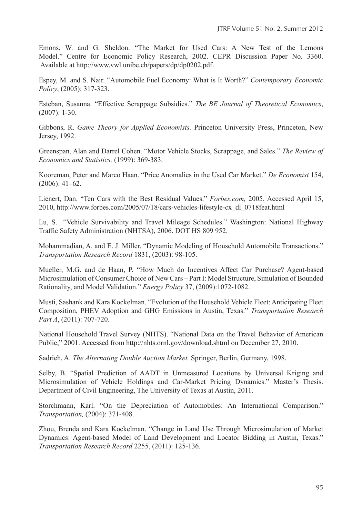Emons, W. and G. Sheldon. "The Market for Used Cars: A New Test of the Lemons Model." Centre for Economic Policy Research, 2002. CEPR Discussion Paper No. 3360. Available at http://www.vwl.unibe.ch/papers/dp/dp0202.pdf.

Espey, M. and S. Nair. "Automobile Fuel Economy: What is It Worth?" *Contemporary Economic Policy*, (2005): 317-323.

Esteban, Susanna. "Effective Scrappage Subsidies." *The BE Journal of Theoretical Economics*, (2007): 1-30.

Gibbons, R. *Game Theory for Applied Economists.* Princeton University Press, Princeton, New Jersey, 1992.

Greenspan, Alan and Darrel Cohen. "Motor Vehicle Stocks, Scrappage, and Sales." *The Review of Economics and Statistics,* (1999): 369-383.

Kooreman, Peter and Marco Haan. "Price Anomalies in the Used Car Market." *De Economist* 154, (2006): 41–62.

Lienert, Dan. "Ten Cars with the Best Residual Values." *Forbes.com,* 2005*.* Accessed April 15, 2010, http://www.forbes.com/2005/07/18/cars-vehicles-lifestyle-cx\_dl\_0718feat.html

Lu, S. "Vehicle Survivability and Travel Mileage Schedules." Washington: National Highway Traffic Safety Administration (NHTSA), 2006. DOT HS 809 952.

Mohammadian, A. and E. J. Miller. "Dynamic Modeling of Household Automobile Transactions." *Transportation Research Record* 1831, (2003): 98-105.

Mueller, M.G. and de Haan, P. "How Much do Incentives Affect Car Purchase? Agent-based Microsimulation of Consumer Choice of New Cars – Part I: Model Structure, Simulation of Bounded Rationality, and Model Validation." *Energy Policy* 37, (2009):1072-1082.

Musti, Sashank and Kara Kockelman. "Evolution of the Household Vehicle Fleet: Anticipating Fleet Composition, PHEV Adoption and GHG Emissions in Austin, Texas." *Transportation Research Part A*, (2011): 707-720.

National Household Travel Survey (NHTS). "National Data on the Travel Behavior of American Public," 2001. Accessed from http://nhts.ornl.gov/download.shtml on December 27, 2010.

Sadrieh, A. *The Alternating Double Auction Market.* Springer, Berlin, Germany, 1998.

Selby, B. "Spatial Prediction of AADT in Unmeasured Locations by Universal Kriging and Microsimulation of Vehicle Holdings and Car-Market Pricing Dynamics." Master's Thesis. Department of Civil Engineering, The University of Texas at Austin, 2011.

Storchmann, Karl. "On the Depreciation of Automobiles: An International Comparison." *Transportation,* (2004): 371-408.

Zhou, Brenda and Kara Kockelman. "Change in Land Use Through Microsimulation of Market Dynamics: Agent-based Model of Land Development and Locator Bidding in Austin, Texas." *Transportation Research Record* 2255, (2011): 125-136.